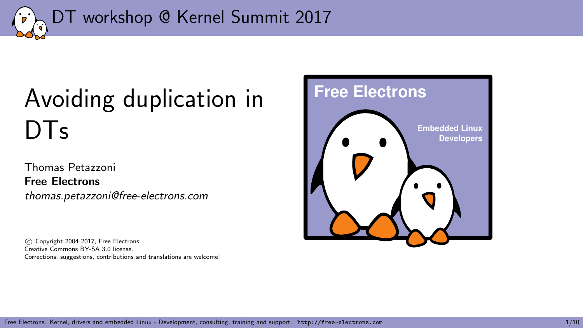<span id="page-0-0"></span>

# [Avoiding duplication in](#page-0-0)  $DTs$

Thomas Petazzoni Free Electrons thomas.petazzoni@free-electrons.com

 c Copyright 2004-2017, Free Electrons. Creative Commons BY-SA 3.0 license. Corrections, suggestions, contributions and translations are welcome!

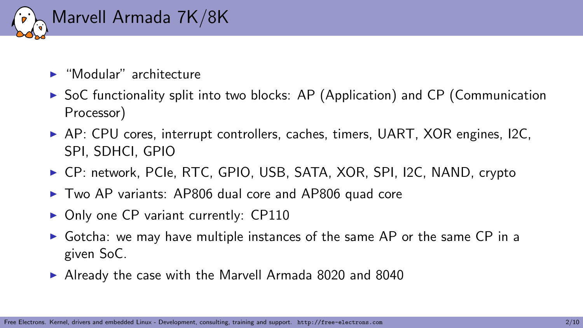

- $\blacktriangleright$  "Modular" architecture
- $\triangleright$  SoC functionality split into two blocks: AP (Application) and CP (Communication Processor)
- $\triangleright$  AP: CPU cores, interrupt controllers, caches, timers, UART, XOR engines, I2C, SPI, SDHCI, GPIO
- ► CP: network, PCIe, RTC, GPIO, USB, SATA, XOR, SPI, I2C, NAND, crypto
- $\triangleright$  Two AP variants: AP806 dual core and AP806 quad core
- $\triangleright$  Only one CP variant currently: CP110
- $\triangleright$  Gotcha: we may have multiple instances of the same AP or the same CP in a given SoC.
- $\blacktriangleright$  Already the case with the Marvell Armada 8020 and 8040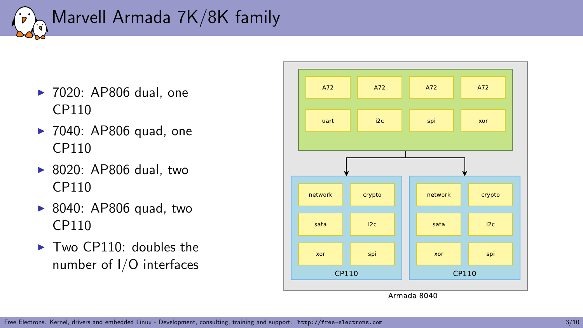

- $\blacktriangleright$  7020: AP806 dual, one CP110
- $\blacktriangleright$  7040: AP806 quad, one CP110
- $\triangleright$  8020: AP806 dual, two CP110
- $\blacktriangleright$  8040: AP806 quad, two CP110
- $\blacktriangleright$  Two CP110: doubles the number of I/O interfaces

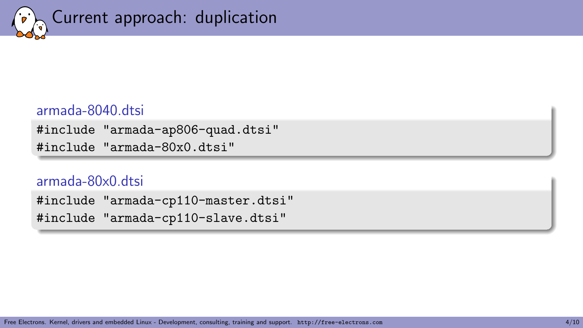

## armada-8040.dtsi

#include "armada-ap806-quad.dtsi" #include "armada-80x0.dtsi"

#### armada-80x0.dtsi

#include "armada-cp110-master.dtsi" #include "armada-cp110-slave.dtsi"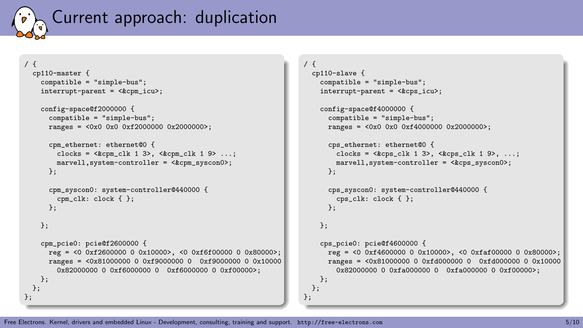

```
/ {
  cp110-master {
    compatible = "simple-bus";
    interrupt-parent = <&cpm_icu>;
    config-space@f2000000 {
      compatible = "simple-bus";
      ranges = \langle 0x0 \rangle 0x0 \rangle 0xf2000000 0x20000000;
      cpm_ethernet: ethernet@0 {
        clocks = \langle \text{Kcpm\_clk} 1 3 \rangle, \langle \text{Kcpm\_clk} 1 9 \rangle ...;
        marvell,system-controller = <&cpm_syscon0>;
      };
      cpm_syscon0: system-controller@440000 {
        cpm_clk: clock { };
      };
    \}:
    cpm_pcie0: pcie@f2600000 {
      ref = <0 0xf2600000 0 0x10000>, <0 0xf6f00000 0 0x80000>;
      ranges = <0x81000000 0 0xf9000000 0 0xf9000000 0 0x10000
        0x82000000 0 0xf6000000 0 0xf6000000 0 0xf00000>;
   };
 };
};
```

```
/ {
 cp110-slave {
    compatible = "simple-bus";
    interrupt-parent = <&cps_icu>;
    config-space@f4000000 {
      compatible = "simple-bus";
      ranges = <0x0 0x0 0xf4000000 0x2000000>;
      cps_ethernet: ethernet@0 {
        clocks = \langle kcps_c1k 1 3 \rangle, \langle kcps_c1k 1 9 \rangle, ...;
        marvell.system-controller = <&cps syscon0>:
      };
      cps_syscon0: system-controller@440000 {
        cps_clk: clock { }:
      };
    \ddot{\ }:
    cps_pcie0: pcie@f4600000 {
      reg = <0 0xf4600000 0 0x10000>, <0 0xfaf00000 0 0x80000>;
      ranges = <0x81000000 0 0xfd000000 0 0xfd000000 0 0x10000
        0x82000000 0 0xfa000000 0 0xfa000000 0 0xf00000>;
   };
 };
```
};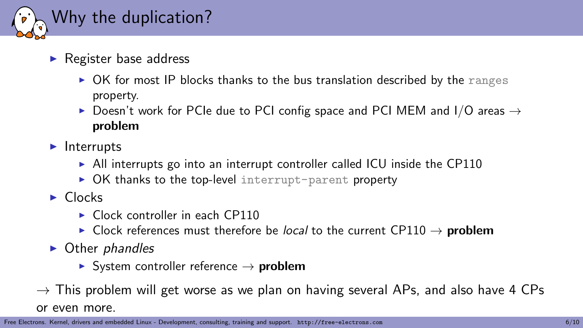

- $\blacktriangleright$  Register base address
	- $\triangleright$  OK for most IP blocks thanks to the bus translation described by the ranges property.
	- ▶ Doesn't work for PCIe due to PCI config space and PCI MEM and I/O areas  $\rightarrow$ problem
- $\blacktriangleright$  Interrupts
	- $\triangleright$  All interrupts go into an interrupt controller called ICU inside the CP110
	- $\triangleright$  OK thanks to the top-level interrupt-parent property
- $\blacktriangleright$  Clocks
	- $\triangleright$  Clock controller in each CP110
	- ► Clock references must therefore be *local* to the current CP110  $\rightarrow$  **problem**
- $\triangleright$  Other phandles
	- $\triangleright$  System controller reference  $\rightarrow$  problem
- $\rightarrow$  This problem will get worse as we plan on having several APs, and also have 4 CPs

or even more.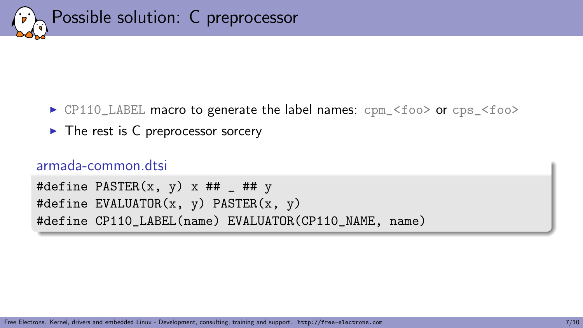

- $\triangleright$  CP110\_LABEL macro to generate the label names:  $cpm_{\text{1}}$  <foo> or  $cps_{\text{1}}$  <foo>
- $\blacktriangleright$  The rest is C preprocessor sorcery

## armada-common.dtsi

```
#define PASTER(x, y) x ##  ## y#define EVALUATOR(x, y) PASTER(x, y)
#define CP110_LABEL(name) EVALUATOR(CP110_NAME, name)
```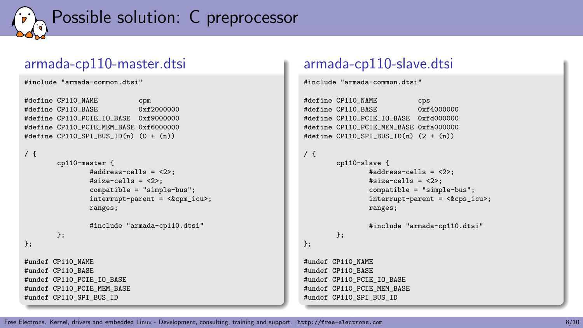

## armada-cp110-master.dtsi

```
#include "armada-common.dtsi"
```

```
#define CP110_NAME cpm<br>#define CP110_BASE 0xf2000000
#define CP110 BASE
#define CP110_PCIE_IO_BASE 0xf9000000
#define CP110 PCIE MEM BASE 0xf6000000
#define CP110 SPI BUS ID(n) (0 + (n))
```

```
/ {
```

```
cp110-master {
                 #address-cells = <2>:
                 #size-cells = \langle 2 \rangle;
                 compatible = "simple-bus";
                 interrupt-parent = <&cpm_icu>;
                 ranges;
                 #include "armada-cp110.dtsi"
        };
\ddot{\ }:
#undef CP110_NAME
#undef CP110 BASE
#undef CP110 PCIE IO BASE
#undef CP110_PCIE_MEM_BASE
#undef CP110 SPI BUS ID
```
## armada-cp110-slave.dtsi

#include "armada-common.dtsi"

```
#define CP110_NAME cps<br>#define CP110_BASE 0xf4000000
#define CP110_BASE
#define CP110_PCIE_IO_BASE 0xfd000000
#define CP110 PCIE MEM BASE 0xfa000000
#define CP110 SPI BUS ID(n) (2 + (n))
```

```
/ {
```
 $\}$ :

```
cp110-slave {
         #address-cells = <2>:
         #size-cells = \langle 2 \rangle;
         compatible = "simple-bus";
         interrupt-parent = <&cps_icu>;
        ranges;
```

```
#include "armada-cp110.dtsi"
```

```
#undef CP110_NAME
#undef CP110 BASE
#undef CP110 PCIE IO BASE
#undef CP110_PCIE_MEM_BASE
#undef CP110 SPI BUS ID
```
};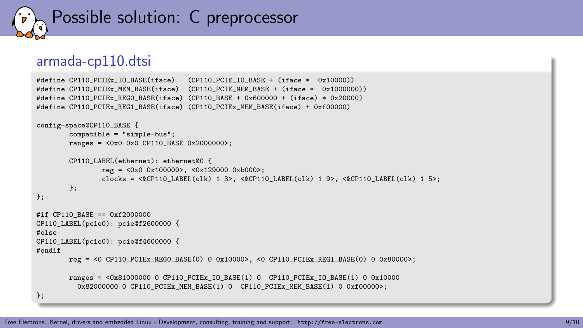

#### armada-cp110.dtsi

```
#define CP110_PCIEx_IO_BASE(iface) (CP110_PCIE_IO_BASE + (iface * 0x10000))
#define CP110_PCIEx_MEM_BASE(iface) (CP110_PCIE_MEM_BASE + (iface * 0x1000000))
#define CP110 PCIEx REGO BASE(iface) (CP110 BASE + 0x600000 + (iface) * 0x20000)
#define CP110_PCIEx_REG1_BASE(iface) (CP110_PCIEx_MEM_BASE(iface) + 0xf00000)
```

```
config-space@CP110_BASE {
         compatible = "simple-bus";
         ranges = \langle 0x0 \rangle 0x0 CP110 BASE 0x2000000>;
         CP110_LABEL(ethernet): ethernet@0 {
                 ref = <0x0 0x1000000, <0x129000 0xb0000;
                 clocks = <&CP110_LABEL(clk) 1 3>, <&CP110_LABEL(clk) 1 9>, <&CP110_LABEL(clk) 1 5>;
        \ddot{\ }:
\cdot#if CP110 BASE == 0xf2000000
CP110_LABEL(pcie0): pcie@f2600000 {
#else
CP110_LABEL(pcie0): pcie@f4600000 {
#endif
         r e \sigma = 50 CP110 PCIEx REGO BASE(0) 0 0x10000>, 50 \text{ CPL} CP110 PCIEx REG1 BASE(0) 0 0x80000>;
         ranges = <0x81000000 0 CP110_PCIEx_IO_BASE(1) 0 CP110_PCIEx_IO_BASE(1) 0 0x10000
           0 \times 82000000 0 CP110 PCIEx MEM BASE(1) 0 CP110 PCIEx MEM BASE(1) 0 0 \times 600000 :
};
```